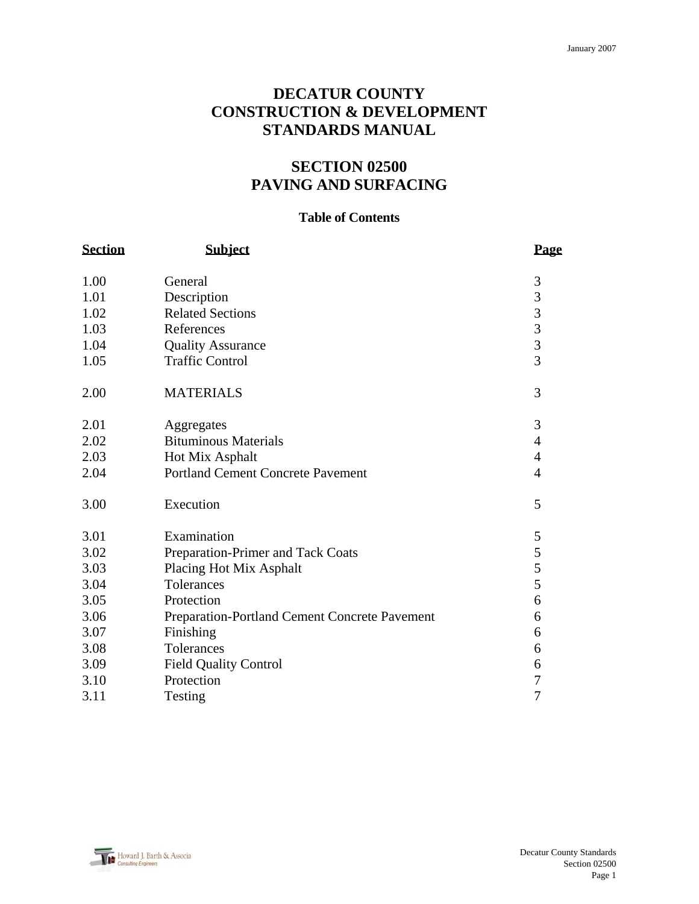# **DECATUR COUNTY CONSTRUCTION & DEVELOPMENT STANDARDS MANUAL**

# **SECTION 02500 PAVING AND SURFACING**

#### **Table of Contents**

| <b>Section</b> | <b>Subject</b>                                | <b>Page</b>    |
|----------------|-----------------------------------------------|----------------|
| 1.00           | General                                       | 3              |
| 1.01           | Description                                   | 3              |
| 1.02           | <b>Related Sections</b>                       | 3              |
| 1.03           | References                                    | $\mathfrak{Z}$ |
| 1.04           | <b>Quality Assurance</b>                      | $\overline{3}$ |
| 1.05           | <b>Traffic Control</b>                        | 3              |
| 2.00           | <b>MATERIALS</b>                              | 3              |
| 2.01           | Aggregates                                    | 3              |
| 2.02           | <b>Bituminous Materials</b>                   | $\overline{4}$ |
| 2.03           | Hot Mix Asphalt                               | $\overline{4}$ |
| 2.04           | <b>Portland Cement Concrete Pavement</b>      | 4              |
| 3.00           | Execution                                     | 5              |
| 3.01           | Examination                                   | 5              |
| 3.02           | Preparation-Primer and Tack Coats             | 5              |
| 3.03           | <b>Placing Hot Mix Asphalt</b>                | 5              |
| 3.04           | Tolerances                                    | 5              |
| 3.05           | Protection                                    | 6              |
| 3.06           | Preparation-Portland Cement Concrete Pavement | 6              |
| 3.07           | Finishing                                     | 6              |
| 3.08           | Tolerances                                    | 6              |
| 3.09           | <b>Field Quality Control</b>                  | 6              |
| 3.10           | Protection                                    | 7              |
| 3.11           | Testing                                       | 7              |

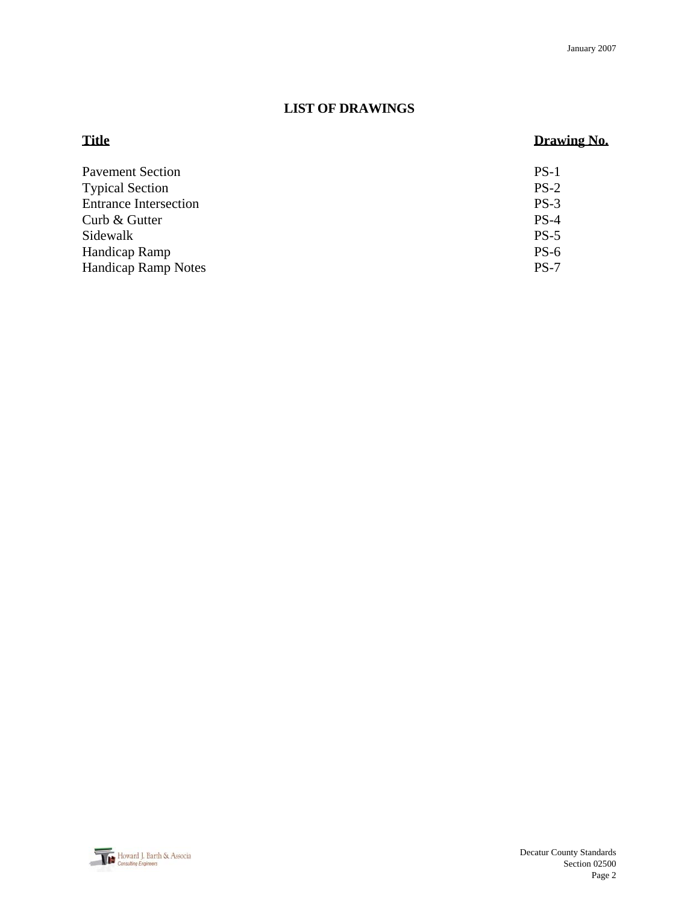# **LIST OF DRAWINGS**

| <b>Title</b>                           | Drawing No. |
|----------------------------------------|-------------|
| $PS-1$<br><b>Pavement Section</b>      |             |
| $PS-2$<br><b>Typical Section</b>       |             |
| <b>Entrance Intersection</b><br>$PS-3$ |             |
| $PS-4$<br>Curb & Gutter                |             |
| $PS-5$<br>Sidewalk                     |             |
| $PS-6$<br>Handicap Ramp                |             |
| <b>Handicap Ramp Notes</b><br>$PS-7$   |             |

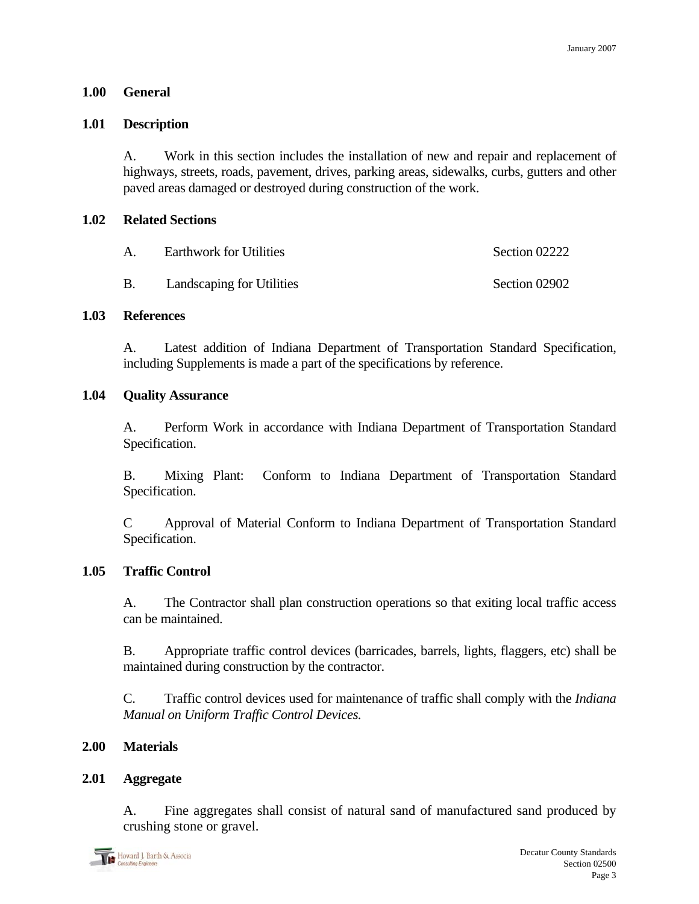# **1.00 General**

# **1.01 Description**

A. Work in this section includes the installation of new and repair and replacement of highways, streets, roads, pavement, drives, parking areas, sidewalks, curbs, gutters and other paved areas damaged or destroyed during construction of the work.

# **1.02 Related Sections**

| <b>Earthwork for Utilities</b> | Section 02222 |
|--------------------------------|---------------|
| Landscaping for Utilities      | Section 02902 |

# **1.03 References**

 A. Latest addition of Indiana Department of Transportation Standard Specification, including Supplements is made a part of the specifications by reference.

# **1.04 Quality Assurance**

 A. Perform Work in accordance with Indiana Department of Transportation Standard Specification.

 B. Mixing Plant: Conform to Indiana Department of Transportation Standard Specification.

 C Approval of Material Conform to Indiana Department of Transportation Standard Specification.

# **1.05 Traffic Control**

 A. The Contractor shall plan construction operations so that exiting local traffic access can be maintained.

 B. Appropriate traffic control devices (barricades, barrels, lights, flaggers, etc) shall be maintained during construction by the contractor.

 C. Traffic control devices used for maintenance of traffic shall comply with the *Indiana Manual on Uniform Traffic Control Devices.* 

# **2.00 Materials**

# **2.01 Aggregate**

A. Fine aggregates shall consist of natural sand of manufactured sand produced by crushing stone or gravel.

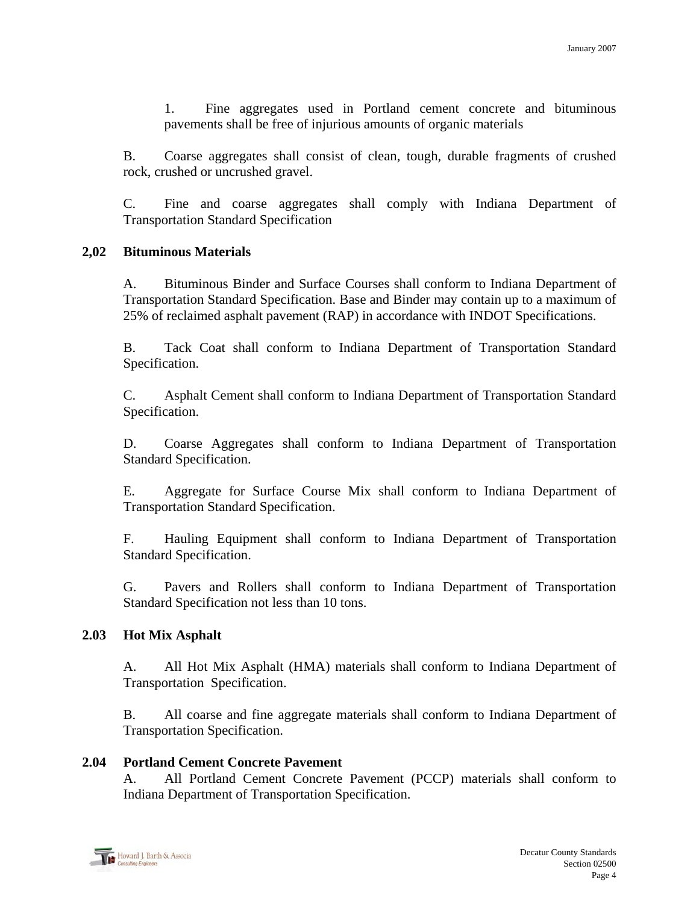1. Fine aggregates used in Portland cement concrete and bituminous pavements shall be free of injurious amounts of organic materials

B. Coarse aggregates shall consist of clean, tough, durable fragments of crushed rock, crushed or uncrushed gravel.

C. Fine and coarse aggregates shall comply with Indiana Department of Transportation Standard Specification

#### **2,02 Bituminous Materials**

A. Bituminous Binder and Surface Courses shall conform to Indiana Department of Transportation Standard Specification. Base and Binder may contain up to a maximum of 25% of reclaimed asphalt pavement (RAP) in accordance with INDOT Specifications.

 B. Tack Coat shall conform to Indiana Department of Transportation Standard Specification.

C. Asphalt Cement shall conform to Indiana Department of Transportation Standard Specification.

 D. Coarse Aggregates shall conform to Indiana Department of Transportation Standard Specification.

E. Aggregate for Surface Course Mix shall conform to Indiana Department of Transportation Standard Specification.

 F. Hauling Equipment shall conform to Indiana Department of Transportation Standard Specification.

G. Pavers and Rollers shall conform to Indiana Department of Transportation Standard Specification not less than 10 tons.

# **2.03 Hot Mix Asphalt**

 A. All Hot Mix Asphalt (HMA) materials shall conform to Indiana Department of Transportation Specification.

 B. All coarse and fine aggregate materials shall conform to Indiana Department of Transportation Specification.

# **2.04 Portland Cement Concrete Pavement**

 A. All Portland Cement Concrete Pavement (PCCP) materials shall conform to Indiana Department of Transportation Specification.

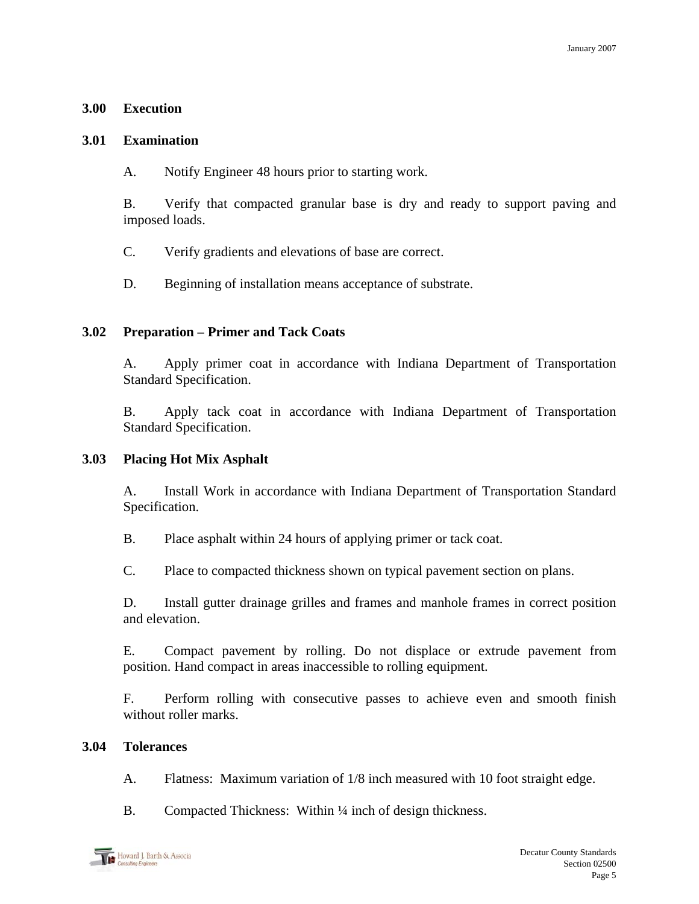# **3.00 Execution**

# **3.01 Examination**

A. Notify Engineer 48 hours prior to starting work.

 B. Verify that compacted granular base is dry and ready to support paving and imposed loads.

C. Verify gradients and elevations of base are correct.

D. Beginning of installation means acceptance of substrate.

# **3.02 Preparation – Primer and Tack Coats**

 A. Apply primer coat in accordance with Indiana Department of Transportation Standard Specification.

 B. Apply tack coat in accordance with Indiana Department of Transportation Standard Specification.

# **3.03 Placing Hot Mix Asphalt**

 A. Install Work in accordance with Indiana Department of Transportation Standard Specification.

B. Place asphalt within 24 hours of applying primer or tack coat.

C. Place to compacted thickness shown on typical pavement section on plans.

 D. Install gutter drainage grilles and frames and manhole frames in correct position and elevation.

 E. Compact pavement by rolling. Do not displace or extrude pavement from position. Hand compact in areas inaccessible to rolling equipment.

 F. Perform rolling with consecutive passes to achieve even and smooth finish without roller marks.

# **3.04 Tolerances**

A. Flatness: Maximum variation of 1/8 inch measured with 10 foot straight edge.

B. Compacted Thickness: Within ¼ inch of design thickness.

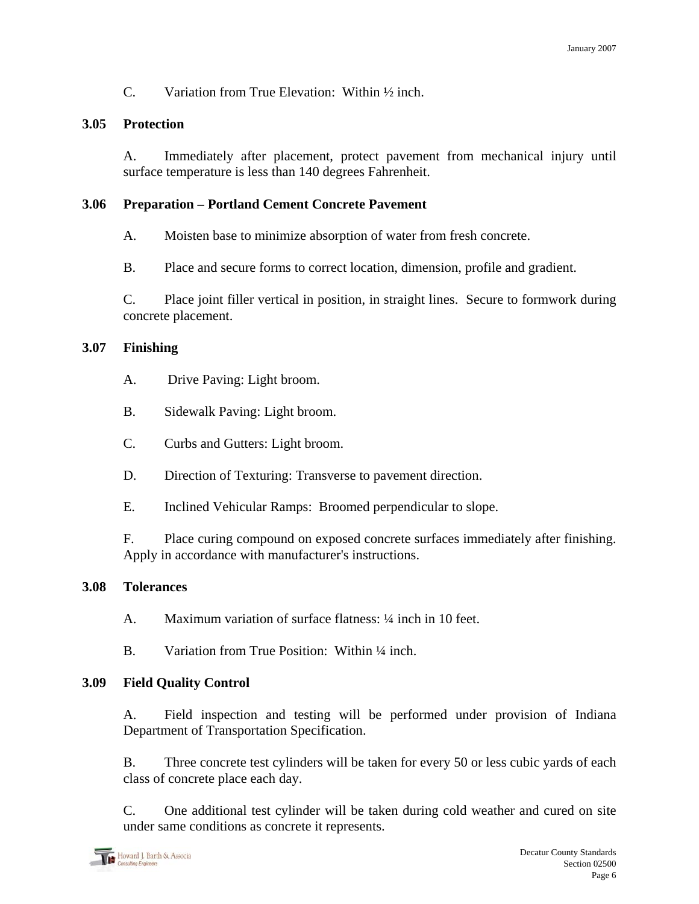C. Variation from True Elevation: Within ½ inch.

# **3.05 Protection**

 A. Immediately after placement, protect pavement from mechanical injury until surface temperature is less than 140 degrees Fahrenheit.

# **3.06 Preparation – Portland Cement Concrete Pavement**

A. Moisten base to minimize absorption of water from fresh concrete.

B. Place and secure forms to correct location, dimension, profile and gradient.

 C. Place joint filler vertical in position, in straight lines. Secure to formwork during concrete placement.

# **3.07 Finishing**

- A. Drive Paving: Light broom.
- B. Sidewalk Paving: Light broom.
- C. Curbs and Gutters: Light broom.
- D. Direction of Texturing: Transverse to pavement direction.
- E. Inclined Vehicular Ramps: Broomed perpendicular to slope.

F. Place curing compound on exposed concrete surfaces immediately after finishing. Apply in accordance with manufacturer's instructions.

# **3.08 Tolerances**

- A. Maximum variation of surface flatness: ¼ inch in 10 feet.
- B. Variation from True Position: Within <sup>1</sup>/4 inch.

# **3.09 Field Quality Control**

A. Field inspection and testing will be performed under provision of Indiana Department of Transportation Specification.

B. Three concrete test cylinders will be taken for every 50 or less cubic yards of each class of concrete place each day.

C. One additional test cylinder will be taken during cold weather and cured on site under same conditions as concrete it represents.

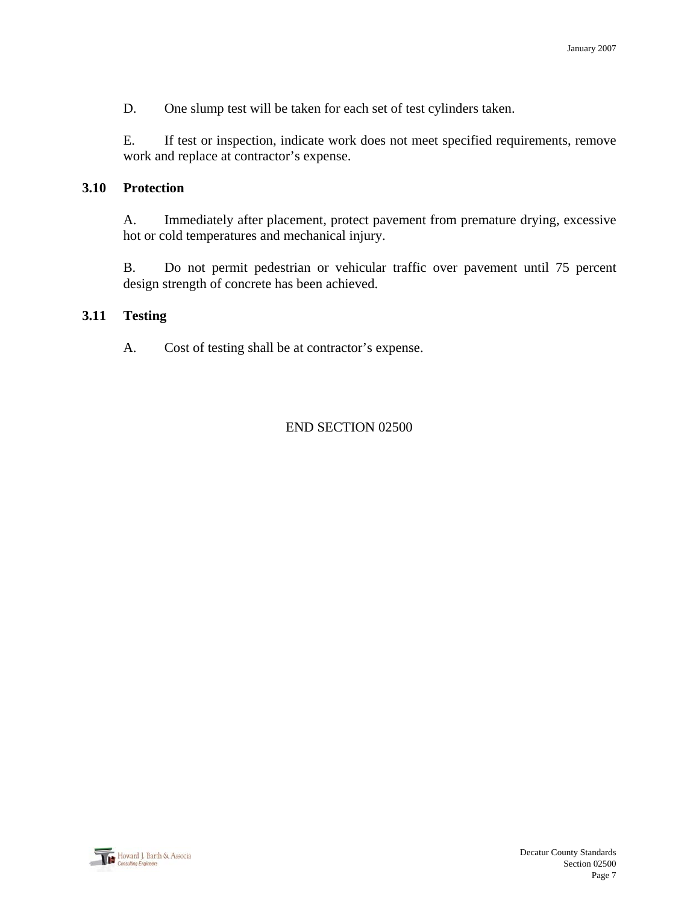D. One slump test will be taken for each set of test cylinders taken.

E. If test or inspection, indicate work does not meet specified requirements, remove work and replace at contractor's expense.

#### **3.10 Protection**

A. Immediately after placement, protect pavement from premature drying, excessive hot or cold temperatures and mechanical injury.

B. Do not permit pedestrian or vehicular traffic over pavement until 75 percent design strength of concrete has been achieved.

#### **3.11 Testing**

A. Cost of testing shall be at contractor's expense.

# END SECTION 02500

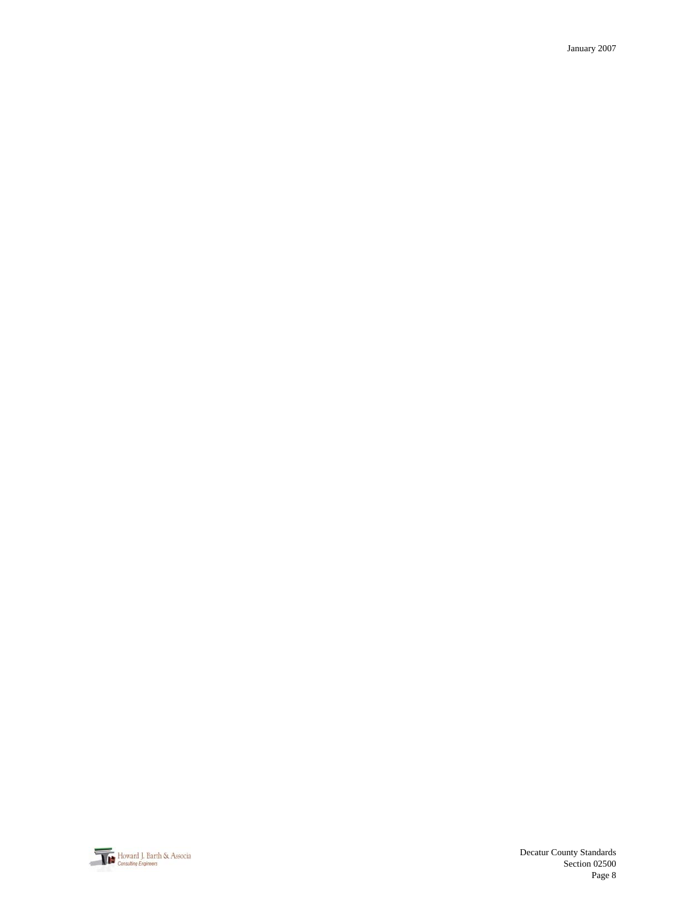January 2007

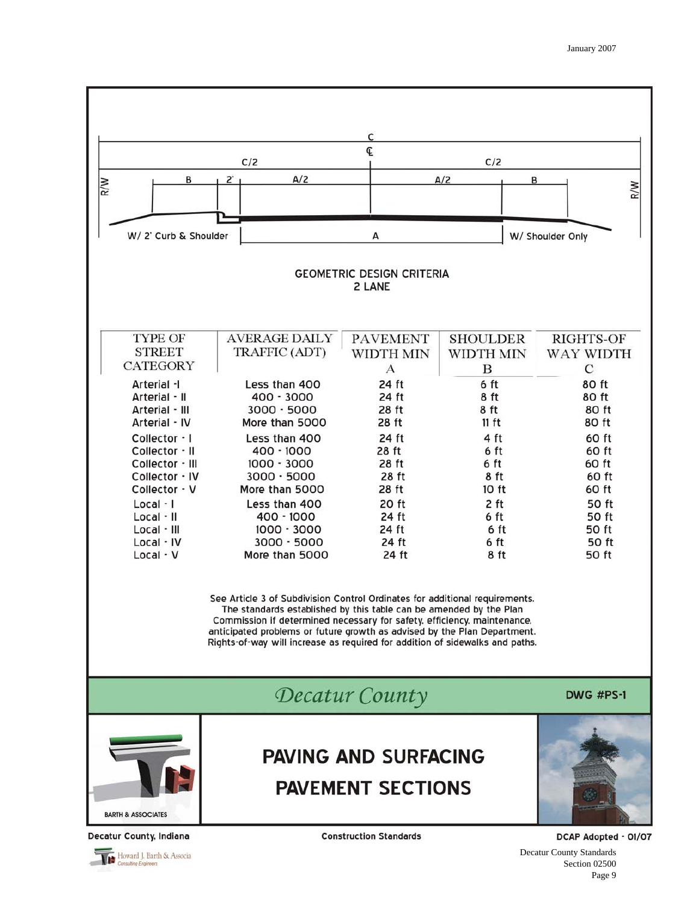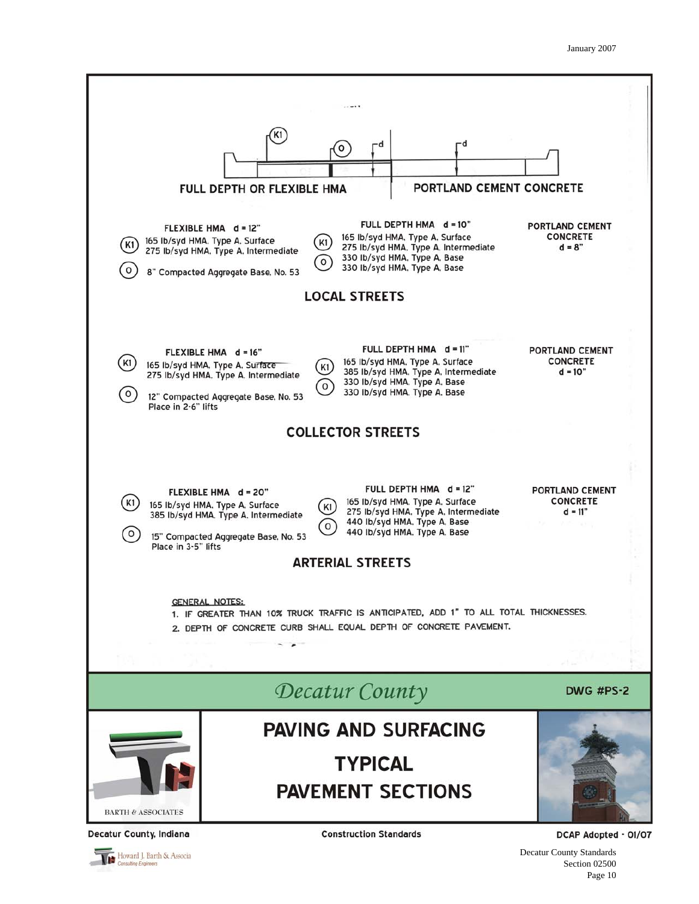

DCAP Adopted - 01/07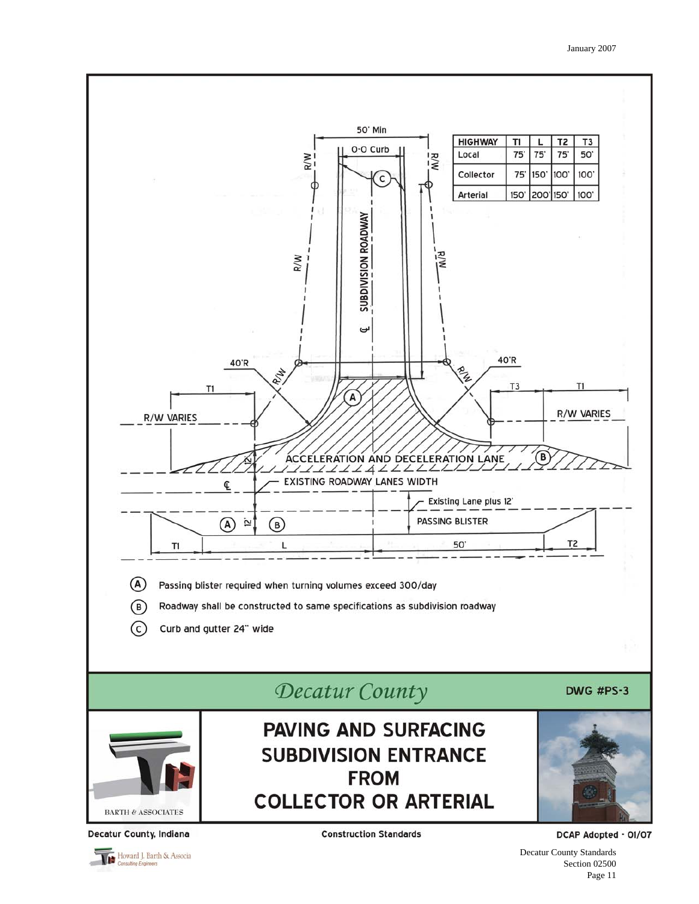

DCAP Adopted - 01/07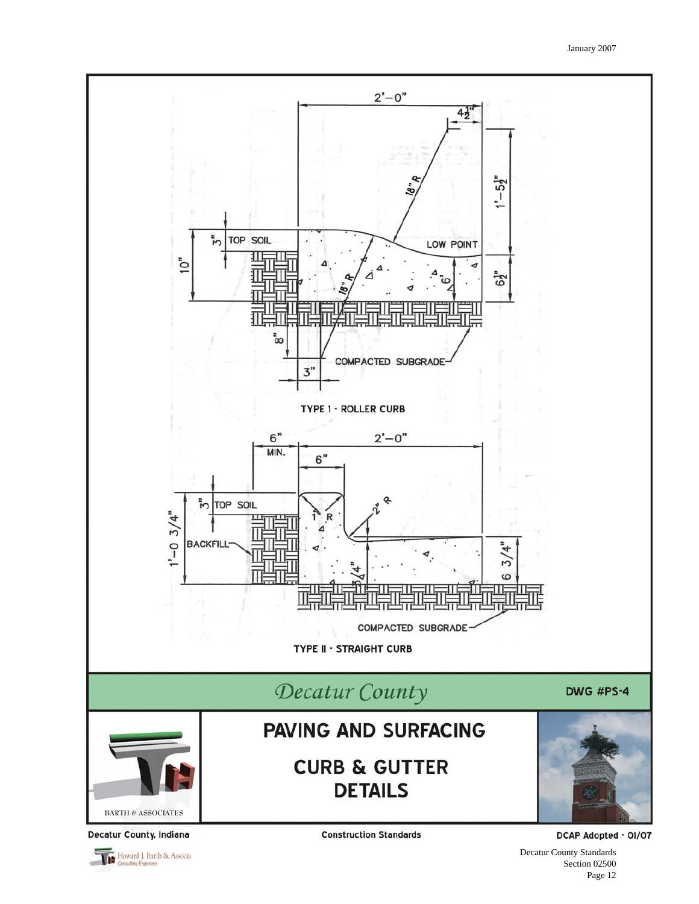

Howard J. Barth & Associa

**Construction Standards** 

DCAP Adopted - 01/07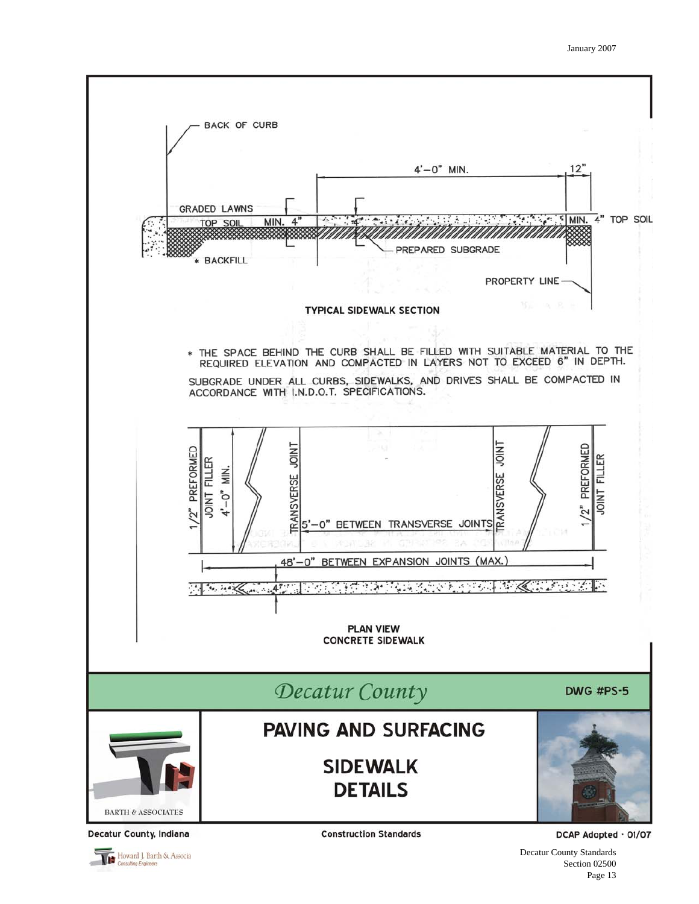

**Construction Standards** 

DCAP Adopted - 01/07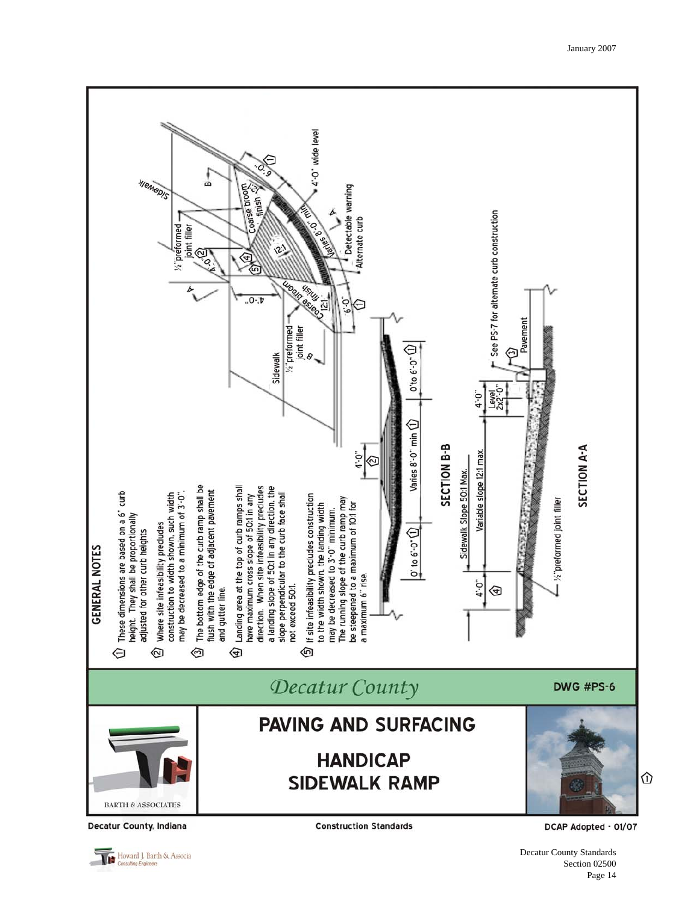